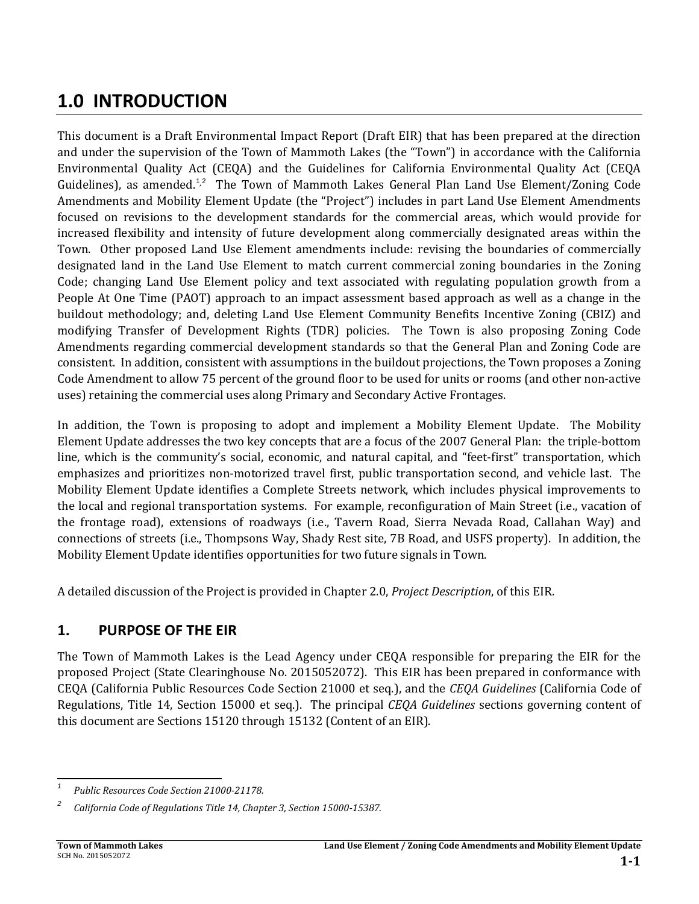# **1.0 INTRODUCTION**

This document is a Draft Environmental Impact Report (Draft EIR) that has been prepared at the direction and under the supervision of the Town of Mammoth Lakes (the "Town") in accordance with the California Environmental Quality Act (CEQA) and the Guidelines for California Environmental Quality Act (CEQA Guidelines), as amended.<sup>[1](#page-0-0),[2](#page-0-1)</sup> The Town of Mammoth Lakes General Plan Land Use Element/Zoning Code Amendments and Mobility Element Update (the "Project") includes in part Land Use Element Amendments focused on revisions to the development standards for the commercial areas, which would provide for increased flexibility and intensity of future development along commercially designated areas within the Town. Other proposed Land Use Element amendments include: revising the boundaries of commercially designated land in the Land Use Element to match current commercial zoning boundaries in the Zoning Code; changing Land Use Element policy and text associated with regulating population growth from a People At One Time (PAOT) approach to an impact assessment based approach as well as a change in the buildout methodology; and, deleting Land Use Element Community Benefits Incentive Zoning (CBIZ) and modifying Transfer of Development Rights (TDR) policies. The Town is also proposing Zoning Code Amendments regarding commercial development standards so that the General Plan and Zoning Code are consistent. In addition, consistent with assumptions in the buildout projections, the Town proposes a Zoning Code Amendment to allow 75 percent of the ground floor to be used for units or rooms (and other non-active uses) retaining the commercial uses along Primary and Secondary Active Frontages.

In addition, the Town is proposing to adopt and implement a Mobility Element Update. The Mobility Element Update addresses the two key concepts that are a focus of the 2007 General Plan: the triple-bottom line, which is the community's social, economic, and natural capital, and "feet-first" transportation, which emphasizes and prioritizes non-motorized travel first, public transportation second, and vehicle last. The Mobility Element Update identifies a Complete Streets network, which includes physical improvements to the local and regional transportation systems. For example, reconfiguration of Main Street (i.e., vacation of the frontage road), extensions of roadways (i.e., Tavern Road, Sierra Nevada Road, Callahan Way) and connections of streets (i.e., Thompsons Way, Shady Rest site, 7B Road, and USFS property). In addition, the Mobility Element Update identifies opportunities for two future signals in Town.

A detailed discussion of the Project is provided in Chapter 2.0, *Project Description*, of this EIR.

# **1. PURPOSE OF THE EIR**

The Town of Mammoth Lakes is the Lead Agency under CEQA responsible for preparing the EIR for the proposed Project (State Clearinghouse No. 2015052072). This EIR has been prepared in conformance with CEQA (California Public Resources Code Section 21000 et seq.), and the *CEQA Guidelines* (California Code of Regulations, Title 14, Section 15000 et seq.). The principal *CEQA Guidelines* sections governing content of this document are Sections 15120 through 15132 (Content of an EIR).

<span id="page-0-0"></span>*<sup>1</sup> Public Resources Code Section 21000-21178.*

<span id="page-0-1"></span>*<sup>2</sup> California Code of Regulations Title 14, Chapter 3, Section 15000-15387.*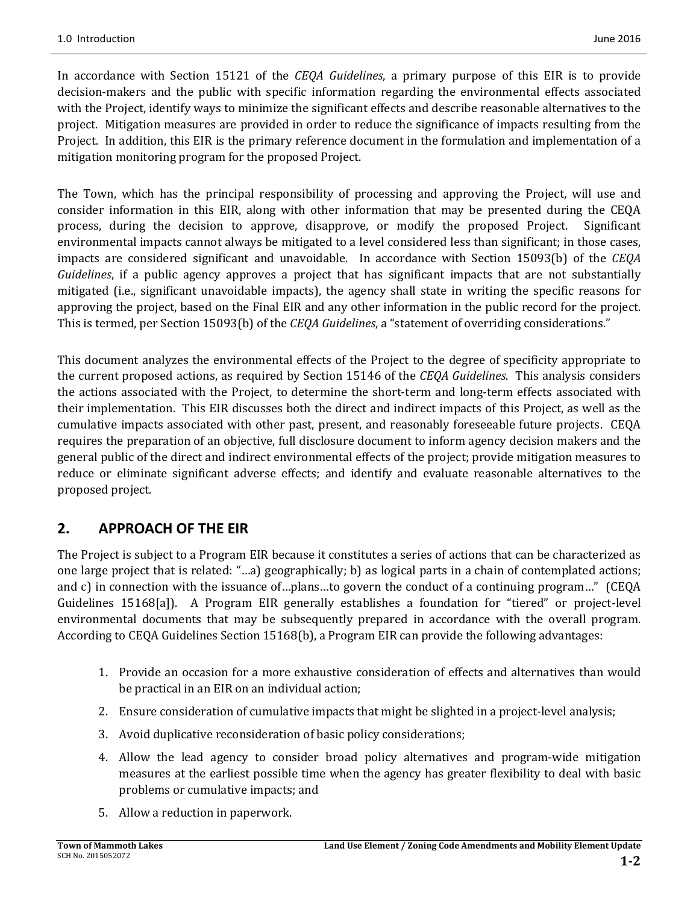In accordance with Section 15121 of the *CEQA Guidelines*, a primary purpose of this EIR is to provide decision-makers and the public with specific information regarding the environmental effects associated with the Project, identify ways to minimize the significant effects and describe reasonable alternatives to the project. Mitigation measures are provided in order to reduce the significance of impacts resulting from the Project. In addition, this EIR is the primary reference document in the formulation and implementation of a mitigation monitoring program for the proposed Project.

The Town, which has the principal responsibility of processing and approving the Project, will use and consider information in this EIR, along with other information that may be presented during the CEQA process, during the decision to approve, disapprove, or modify the proposed Project. Significant environmental impacts cannot always be mitigated to a level considered less than significant; in those cases, impacts are considered significant and unavoidable. In accordance with Section 15093(b) of the *CEQA Guidelines*, if a public agency approves a project that has significant impacts that are not substantially mitigated (i.e., significant unavoidable impacts), the agency shall state in writing the specific reasons for approving the project, based on the Final EIR and any other information in the public record for the project. This is termed, per Section 15093(b) of the *CEQA Guidelines*, a "statement of overriding considerations."

This document analyzes the environmental effects of the Project to the degree of specificity appropriate to the current proposed actions, as required by Section 15146 of the *CEQA Guidelines*. This analysis considers the actions associated with the Project, to determine the short-term and long-term effects associated with their implementation. This EIR discusses both the direct and indirect impacts of this Project, as well as the cumulative impacts associated with other past, present, and reasonably foreseeable future projects. CEQA requires the preparation of an objective, full disclosure document to inform agency decision makers and the general public of the direct and indirect environmental effects of the project; provide mitigation measures to reduce or eliminate significant adverse effects; and identify and evaluate reasonable alternatives to the proposed project.

#### **2. APPROACH OF THE EIR**

The Project is subject to a Program EIR because it constitutes a series of actions that can be characterized as one large project that is related: "…a) geographically; b) as logical parts in a chain of contemplated actions; and c) in connection with the issuance of…plans…to govern the conduct of a continuing program…" (CEQA Guidelines 15168[a]). A Program EIR generally establishes a foundation for "tiered" or project-level environmental documents that may be subsequently prepared in accordance with the overall program. According to CEQA Guidelines Section 15168(b), a Program EIR can provide the following advantages:

- 1. Provide an occasion for a more exhaustive consideration of effects and alternatives than would be practical in an EIR on an individual action;
- 2. Ensure consideration of cumulative impacts that might be slighted in a project-level analysis;
- 3. Avoid duplicative reconsideration of basic policy considerations;
- 4. Allow the lead agency to consider broad policy alternatives and program-wide mitigation measures at the earliest possible time when the agency has greater flexibility to deal with basic problems or cumulative impacts; and
- 5. Allow a reduction in paperwork.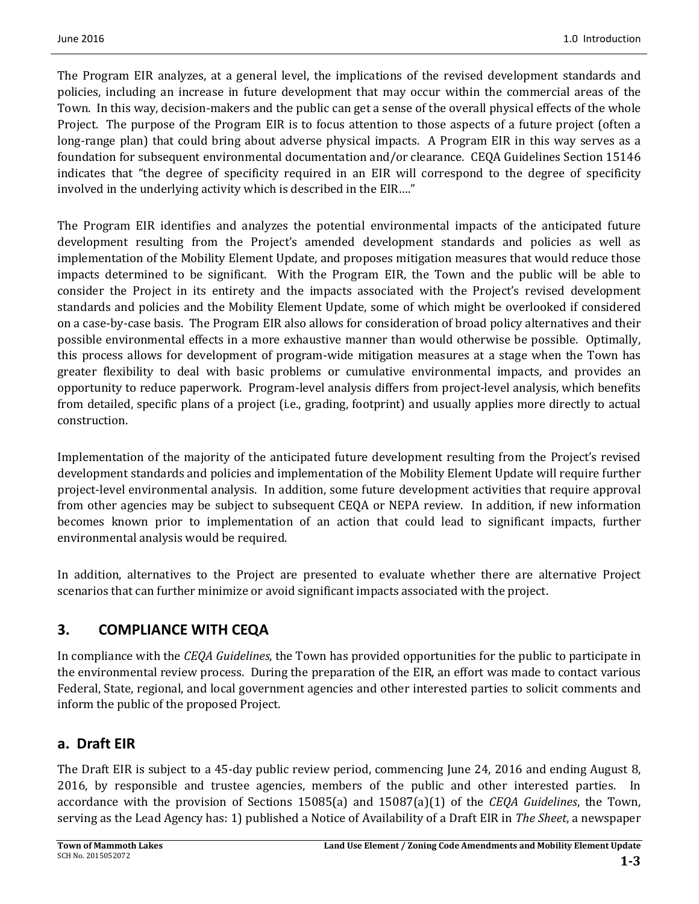The Program EIR analyzes, at a general level, the implications of the revised development standards and policies, including an increase in future development that may occur within the commercial areas of the Town. In this way, decision-makers and the public can get a sense of the overall physical effects of the whole Project. The purpose of the Program EIR is to focus attention to those aspects of a future project (often a long-range plan) that could bring about adverse physical impacts. A Program EIR in this way serves as a foundation for subsequent environmental documentation and/or clearance. CEQA Guidelines Section 15146 indicates that "the degree of specificity required in an EIR will correspond to the degree of specificity involved in the underlying activity which is described in the EIR…."

The Program EIR identifies and analyzes the potential environmental impacts of the anticipated future development resulting from the Project's amended development standards and policies as well as implementation of the Mobility Element Update, and proposes mitigation measures that would reduce those impacts determined to be significant. With the Program EIR, the Town and the public will be able to consider the Project in its entirety and the impacts associated with the Project's revised development standards and policies and the Mobility Element Update, some of which might be overlooked if considered on a case-by-case basis. The Program EIR also allows for consideration of broad policy alternatives and their possible environmental effects in a more exhaustive manner than would otherwise be possible. Optimally, this process allows for development of program-wide mitigation measures at a stage when the Town has greater flexibility to deal with basic problems or cumulative environmental impacts, and provides an opportunity to reduce paperwork. Program-level analysis differs from project-level analysis, which benefits from detailed, specific plans of a project (i.e., grading, footprint) and usually applies more directly to actual construction.

Implementation of the majority of the anticipated future development resulting from the Project's revised development standards and policies and implementation of the Mobility Element Update will require further project-level environmental analysis. In addition, some future development activities that require approval from other agencies may be subject to subsequent CEQA or NEPA review. In addition, if new information becomes known prior to implementation of an action that could lead to significant impacts, further environmental analysis would be required.

In addition, alternatives to the Project are presented to evaluate whether there are alternative Project scenarios that can further minimize or avoid significant impacts associated with the project.

# **3. COMPLIANCE WITH CEQA**

In compliance with the *CEQA Guidelines*, the Town has provided opportunities for the public to participate in the environmental review process. During the preparation of the EIR, an effort was made to contact various Federal, State, regional, and local government agencies and other interested parties to solicit comments and inform the public of the proposed Project.

#### **a. Draft EIR**

The Draft EIR is subject to a 45-day public review period, commencing June 24, 2016 and ending August 8, 2016, by responsible and trustee agencies, members of the public and other interested parties. In accordance with the provision of Sections 15085(a) and 15087(a)(1) of the *CEQA Guidelines*, the Town, serving as the Lead Agency has: 1) published a Notice of Availability of a Draft EIR in *The Sheet*, a newspaper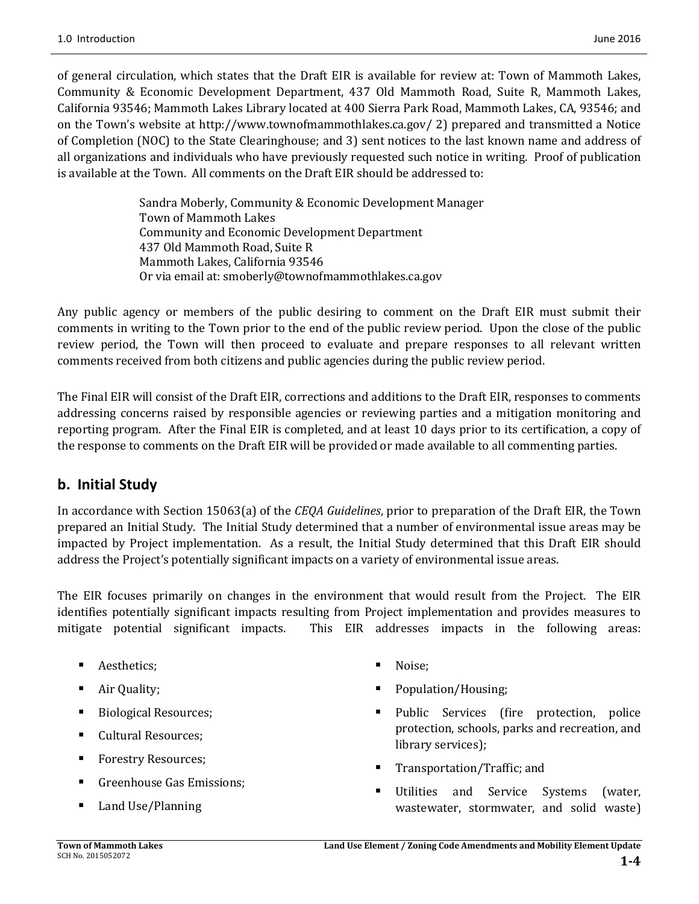of general circulation, which states that the Draft EIR is available for review at: Town of Mammoth Lakes, Community & Economic Development Department, 437 Old Mammoth Road, Suite R, Mammoth Lakes, California 93546; Mammoth Lakes Library located at 400 Sierra Park Road, Mammoth Lakes, CA, 93546; and on the Town's website at http://www.townofmammothlakes.ca.gov/ 2) prepared and transmitted a Notice of Completion (NOC) to the State Clearinghouse; and 3) sent notices to the last known name and address of all organizations and individuals who have previously requested such notice in writing. Proof of publication is available at the Town. All comments on the Draft EIR should be addressed to:

> Sandra Moberly, Community & Economic Development Manager Town of Mammoth Lakes Community and Economic Development Department 437 Old Mammoth Road, Suite R Mammoth Lakes, California 93546 Or via email at: smoberly@townofmammothlakes.ca.gov

Any public agency or members of the public desiring to comment on the Draft EIR must submit their comments in writing to the Town prior to the end of the public review period. Upon the close of the public review period, the Town will then proceed to evaluate and prepare responses to all relevant written comments received from both citizens and public agencies during the public review period.

The Final EIR will consist of the Draft EIR, corrections and additions to the Draft EIR, responses to comments addressing concerns raised by responsible agencies or reviewing parties and a mitigation monitoring and reporting program. After the Final EIR is completed, and at least 10 days prior to its certification, a copy of the response to comments on the Draft EIR will be provided or made available to all commenting parties.

# **b. Initial Study**

In accordance with Section 15063(a) of the *CEQA Guidelines*, prior to preparation of the Draft EIR, the Town prepared an Initial Study. The Initial Study determined that a number of environmental issue areas may be impacted by Project implementation. As a result, the Initial Study determined that this Draft EIR should address the Project's potentially significant impacts on a variety of environmental issue areas.

The EIR focuses primarily on changes in the environment that would result from the Project. The EIR identifies potentially significant impacts resulting from Project implementation and provides measures to mitigate potential significant impacts. This EIR addresses impacts in the following areas:

- **Aesthetics:**
- **Air Quality;**
- Biological Resources;
- Cultural Resources;
- Forestry Resources;
- **Greenhouse Gas Emissions;**
- Land Use/Planning
- Noise;
- Population/Housing;
- Public Services (fire protection, police protection, schools, parks and recreation, and library services);
- Transportation/Traffic; and
- Utilities and Service Systems (water, wastewater, stormwater, and solid waste)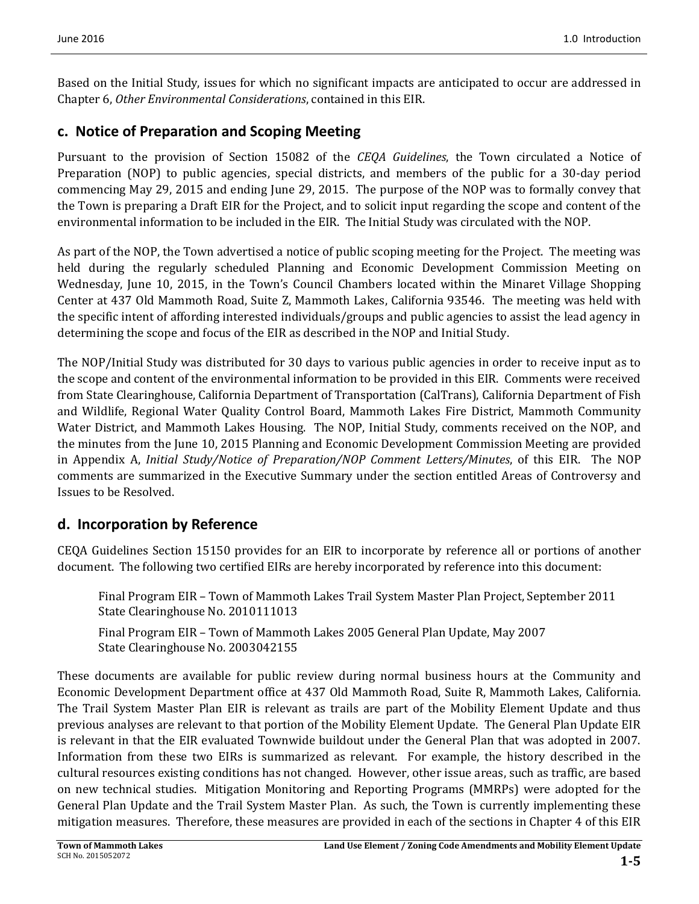Based on the Initial Study, issues for which no significant impacts are anticipated to occur are addressed in Chapter 6, *Other Environmental Considerations*, contained in this EIR.

#### **c. Notice of Preparation and Scoping Meeting**

Pursuant to the provision of Section 15082 of the *CEQA Guidelines*, the Town circulated a Notice of Preparation (NOP) to public agencies, special districts, and members of the public for a 30-day period commencing May 29, 2015 and ending June 29, 2015. The purpose of the NOP was to formally convey that the Town is preparing a Draft EIR for the Project, and to solicit input regarding the scope and content of the environmental information to be included in the EIR. The Initial Study was circulated with the NOP.

As part of the NOP, the Town advertised a notice of public scoping meeting for the Project. The meeting was held during the regularly scheduled Planning and Economic Development Commission Meeting on Wednesday, June 10, 2015, in the Town's Council Chambers located within the Minaret Village Shopping Center at 437 Old Mammoth Road, Suite Z, Mammoth Lakes, California 93546. The meeting was held with the specific intent of affording interested individuals/groups and public agencies to assist the lead agency in determining the scope and focus of the EIR as described in the NOP and Initial Study.

The NOP/Initial Study was distributed for 30 days to various public agencies in order to receive input as to the scope and content of the environmental information to be provided in this EIR. Comments were received from State Clearinghouse, California Department of Transportation (CalTrans), California Department of Fish and Wildlife, Regional Water Quality Control Board, Mammoth Lakes Fire District, Mammoth Community Water District, and Mammoth Lakes Housing. The NOP, Initial Study, comments received on the NOP, and the minutes from the June 10, 2015 Planning and Economic Development Commission Meeting are provided in Appendix A, *Initial Study/Notice of Preparation/NOP Comment Letters/Minutes*, of this EIR. The NOP comments are summarized in the Executive Summary under the section entitled Areas of Controversy and Issues to be Resolved.

# **d. Incorporation by Reference**

CEQA Guidelines Section 15150 provides for an EIR to incorporate by reference all or portions of another document. The following two certified EIRs are hereby incorporated by reference into this document:

Final Program EIR – Town of Mammoth Lakes Trail System Master Plan Project, September 2011 State Clearinghouse No. 2010111013

Final Program EIR – Town of Mammoth Lakes 2005 General Plan Update, May 2007 State Clearinghouse No. 2003042155

These documents are available for public review during normal business hours at the Community and Economic Development Department office at 437 Old Mammoth Road, Suite R, Mammoth Lakes, California. The Trail System Master Plan EIR is relevant as trails are part of the Mobility Element Update and thus previous analyses are relevant to that portion of the Mobility Element Update. The General Plan Update EIR is relevant in that the EIR evaluated Townwide buildout under the General Plan that was adopted in 2007. Information from these two EIRs is summarized as relevant. For example, the history described in the cultural resources existing conditions has not changed. However, other issue areas, such as traffic, are based on new technical studies. Mitigation Monitoring and Reporting Programs (MMRPs) were adopted for the General Plan Update and the Trail System Master Plan. As such, the Town is currently implementing these mitigation measures. Therefore, these measures are provided in each of the sections in Chapter 4 of this EIR